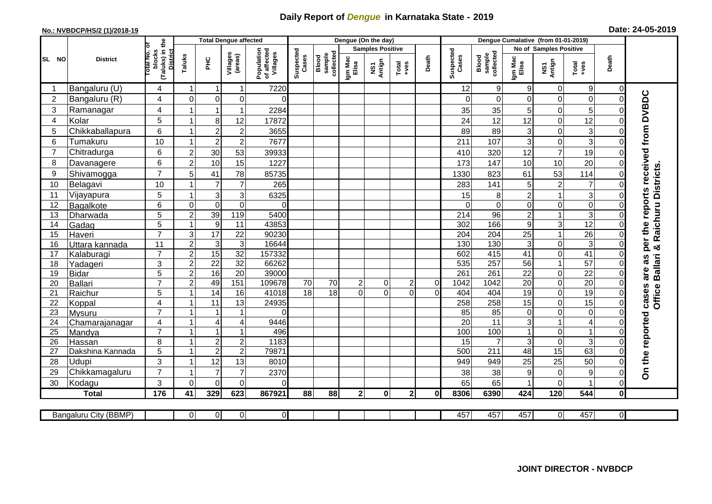## **Daily Report of** *Dengue* **in Karnataka State - 2019**

## **No.: NVBDCP/HS/2 (1)/2018-19 Date: 24-05-2019**

|                                                                                                                                                  | <b>District</b>  |                                          | <b>Total Dengue affected</b> |                           |                         |                                       |                    |                              |                           | Dengue (On the day) |                  |          |                    |                                    |                         |                 |                         |                            |                                     |
|--------------------------------------------------------------------------------------------------------------------------------------------------|------------------|------------------------------------------|------------------------------|---------------------------|-------------------------|---------------------------------------|--------------------|------------------------------|---------------------------|---------------------|------------------|----------|--------------------|------------------------------------|-------------------------|-----------------|-------------------------|----------------------------|-------------------------------------|
| SL NO                                                                                                                                            |                  |                                          |                              |                           |                         |                                       |                    |                              | <b>Samples Positive</b>   |                     |                  |          |                    |                                    | No of Samples Positive  |                 |                         |                            |                                     |
|                                                                                                                                                  |                  | (Taluks) in the<br>otal No. ol<br>blocks | Taluks                       | ΞÉ                        | Villages<br>(areas)     | Population<br>of affected<br>Villages | Suspected<br>Cases | sample<br>collected<br>Blood | Igm Mac<br>Elisa          | NS1<br>Antign       | $Tota$<br>$+ves$ | Death    | Suspected<br>Cases | collected<br>sample<br>Blood       | Igm Mac<br>Elisa        | NS1<br>Antign   | $Tota$<br>$+ves$        | Death                      |                                     |
|                                                                                                                                                  | Bangaluru (U)    | 4                                        | $\overline{1}$               | -1                        | $\mathbf{1}$            | 7220                                  |                    |                              |                           |                     |                  |          | 12                 | $\boldsymbol{9}$                   | 9                       | 0               | $9\,$                   | 0                          |                                     |
| $\overline{2}$                                                                                                                                   | Bangaluru (R)    | 4                                        | $\overline{0}$               | $\mathbf 0$               | 0                       | $\Omega$                              |                    |                              |                           |                     |                  |          | $\Omega$           | $\mathbf 0$                        | 0                       | 0               | $\mathbf 0$             | $\mathbf 0$                |                                     |
| 3                                                                                                                                                | Ramanagar        | 4                                        |                              | $\overline{1}$            | $\mathbf{1}$            | 2284                                  |                    |                              |                           |                     |                  |          | 35                 | 35                                 | 5                       | 0               | 5                       | $\Omega$                   | per the reports received from DVBDC |
| $\overline{4}$                                                                                                                                   | Kolar            | 5                                        | 1                            | 8                         | 12                      | 17872                                 |                    |                              |                           |                     |                  |          | 24                 | 12                                 | 12                      | $\mathbf 0$     | 12                      | $\mathbf 0$                |                                     |
| 5                                                                                                                                                | Chikkaballapura  | 6                                        | $\mathbf{1}$                 | $\overline{c}$            | $\overline{\mathbf{c}}$ | 3655                                  |                    |                              |                           |                     |                  |          | 89                 | 89                                 | 3                       | 0               | 3                       | $\mathbf 0$                |                                     |
| 6                                                                                                                                                | Tumakuru         | 10                                       | $\overline{1}$               | $\overline{2}$            | $\mathbf 2$             | 7677                                  |                    |                              |                           |                     |                  |          | 211                | 107                                | 3                       | 0               | 3                       | $\Omega$                   |                                     |
| $\overline{7}$                                                                                                                                   | Chitradurga      | 6                                        | $\overline{2}$               | 30                        | 53                      | 39933                                 |                    |                              |                           |                     |                  |          | 410                | 320                                | 12                      | $\overline{7}$  | 19                      | $\Omega$                   |                                     |
| 8                                                                                                                                                | Davanagere       | 6                                        | $\overline{2}$               | 10                        | 15                      | 1227                                  |                    |                              |                           |                     |                  |          | 173                | 147                                | 10                      | 10              | 20                      | $\Omega$                   |                                     |
| 9                                                                                                                                                | Shivamogga       | $\overline{7}$                           | 5                            | 41                        | 78                      | 85735                                 |                    |                              |                           |                     |                  |          | 1330               | 823                                | 61                      | 53              | 114                     | $\Omega$                   | & Raichuru Districts                |
| 10                                                                                                                                               | Belagavi         | 10                                       |                              | $\overline{7}$            | $\overline{7}$          | 265                                   |                    |                              |                           |                     |                  |          | 283                | 141                                | 5                       | $\overline{2}$  | $\overline{7}$          | $\Omega$                   |                                     |
| 11                                                                                                                                               | Vijayapura       | 5                                        |                              | $\ensuremath{\mathsf{3}}$ | $\mathbf{3}$            | 6325                                  |                    |                              |                           |                     |                  |          | 15                 | 8                                  | $\overline{\mathbf{c}}$ | 1               | $\overline{3}$          | 0                          |                                     |
| 12                                                                                                                                               | Bagalkote        | 6                                        | $\Omega$                     | $\mathbf 0$               | $\mathbf 0$             | $\Omega$                              |                    |                              |                           |                     |                  |          | $\Omega$           | $\overline{0}$                     | $\mathbf 0$             | 0               | $\overline{0}$          | $\Omega$                   |                                     |
| 13                                                                                                                                               | Dharwada         | $\overline{5}$                           | $\overline{2}$               | 39                        | 119                     | 5400                                  |                    |                              |                           |                     |                  |          | $\overline{214}$   | 96                                 | $\overline{2}$          | $\mathbf{1}$    | $\overline{3}$          | $\overline{0}$             |                                     |
| 14                                                                                                                                               | Gadag            | 5                                        | $\mathbf{1}$                 | $\boldsymbol{9}$          | 11                      | 43853                                 |                    |                              |                           |                     |                  |          | 302                | 166                                | $9\,$                   | 3               | 12                      | $\Omega$                   |                                     |
| 15                                                                                                                                               | Haveri           | $\overline{7}$                           | $\mathsf 3$                  | 17                        | $\overline{22}$         | 90230                                 |                    |                              |                           |                     |                  |          | 204                | 204                                | 25                      | $\overline{1}$  | $\overline{26}$         | $\Omega$                   |                                     |
| 16                                                                                                                                               | Uttara kannada   | 11                                       | $\overline{2}$               | 3                         | $\mathbf{3}$            | 16644                                 |                    |                              |                           |                     |                  |          | 130                | 130                                | 3                       | 0               | ω                       | $\Omega$                   |                                     |
| 17                                                                                                                                               | Kalaburagi       | $\overline{7}$                           | $\overline{2}$               | 15                        | 32                      | 157332                                |                    |                              |                           |                     |                  |          | 602                | 415                                | 41                      | 0               | 41                      | $\Omega$                   | 8g                                  |
| 18                                                                                                                                               | Yadageri         | 3                                        | $\overline{2}$               | $\overline{22}$           | $\overline{32}$         | 66262                                 |                    |                              |                           |                     |                  |          | 535                | 257                                | 56                      | 1               | 57                      | $\Omega$                   | <b>Ballari</b>                      |
| 19                                                                                                                                               | <b>Bidar</b>     | 5                                        | $\boldsymbol{2}$             | 16                        | $\overline{20}$         | 39000                                 |                    |                              |                           |                     |                  |          | 261                | 261                                | $\overline{22}$         | 0               | $\overline{22}$         | $\mathbf 0$                | are                                 |
| 20                                                                                                                                               | Ballari          | $\overline{7}$                           | $\overline{2}$               | 49                        | 151                     | 109678                                | 70                 | 70                           | $\mathbf{2}^{\mathsf{I}}$ | 0                   | $\overline{2}$   | 0        | 1042               | 1042                               | $\overline{20}$         | 0               | 20                      | $\Omega$                   |                                     |
| 21                                                                                                                                               | Raichur          | 5                                        |                              | $\overline{14}$           | 16                      | 41018                                 | 18                 | 18                           | $\Omega$                  | $\Omega$            | $\Omega$         | $\Omega$ | 404                | 404                                | 19                      | 0               | $\overline{19}$         | $\mathbf 0$                | cases<br>Office                     |
| 22                                                                                                                                               | Koppal           | $\overline{4}$                           |                              | 11                        | $\overline{13}$         | 24935                                 |                    |                              |                           |                     |                  |          | 258                | 258                                | 15                      | $\overline{0}$  | 15                      | $\overline{0}$             |                                     |
| 23                                                                                                                                               | <b>Mysuru</b>    | $\overline{7}$                           | -1                           | -1                        | $\mathbf{1}$            | $\Omega$                              |                    |                              |                           |                     |                  |          | 85                 | $\overline{85}$                    | $\mathbf 0$             | 0               | $\overline{0}$          | $\Omega$                   |                                     |
| 24                                                                                                                                               | Chamarajanagar   | 4                                        | $\mathbf{1}$                 | $\overline{4}$            | $\overline{4}$          | 9446                                  |                    |                              |                           |                     |                  |          | $\overline{20}$    | $\overline{11}$                    | 3                       | $\mathbf{1}$    | $\overline{\mathbf{4}}$ | $\Omega$                   |                                     |
| 25                                                                                                                                               | Mandya           | $\overline{7}$                           | $\overline{ }$               | $\overline{1}$            | $\mathbf{1}$            | 496                                   |                    |                              |                           |                     |                  |          | 100                | 100                                |                         | 0               | $\mathbf{1}$            | 0                          |                                     |
| 26                                                                                                                                               | Hassan           | 8                                        | $\overline{1}$               | $\sqrt{2}$                | $\sqrt{2}$              | 1183<br>79871                         |                    |                              |                           |                     |                  |          | 15<br>500          | $\overline{7}$<br>$\overline{211}$ | 3                       | 0               | 3<br>63                 | $\mathbf 0$<br>$\mathbf 0$ |                                     |
| 27                                                                                                                                               | Dakshina Kannada | 5                                        |                              | $\overline{2}$            | $\overline{2}$          |                                       |                    |                              |                           |                     |                  |          |                    |                                    | 48                      | $\overline{15}$ |                         |                            |                                     |
| 28                                                                                                                                               | Udupi            | 3<br>$\overline{7}$                      | -1                           | 12<br>$\overline{7}$      | 13                      | 8010                                  |                    |                              |                           |                     |                  |          | 949                | 949                                | 25                      | 25              | 50                      | $\Omega$                   | On the reported                     |
| 29                                                                                                                                               | Chikkamagaluru   |                                          |                              |                           | $\overline{7}$          | 2370                                  |                    |                              |                           |                     |                  |          | 38                 | 38                                 | 9                       | 0               | 9<br>1                  | $\Omega$                   |                                     |
| 30                                                                                                                                               | Kodagu           | 3                                        | $\Omega$                     | $\Omega$                  | 0                       | $\Omega$                              |                    |                              |                           |                     |                  |          | 65                 | 65                                 |                         | $\overline{0}$  |                         | $\Omega$                   |                                     |
|                                                                                                                                                  | <b>Total</b>     | 176                                      | 41                           | 329                       | 623                     | 867921                                | 88                 | 88                           | 2 <sub>l</sub>            | $\mathbf{0}$        | 2 <sub>1</sub>   | $\bf{0}$ | 8306               | 6390                               | 424                     | 120             | 544                     | $\bf{0}$                   |                                     |
| $\overline{0}$<br>$\overline{O}$<br>457<br>457<br>$\overline{0}$<br>457<br>$\overline{0}$<br>Bangaluru City (BBMP)<br>$\Omega$<br>$\overline{0}$ |                  |                                          |                              |                           |                         |                                       |                    |                              |                           |                     |                  |          | 457                |                                    |                         |                 |                         |                            |                                     |